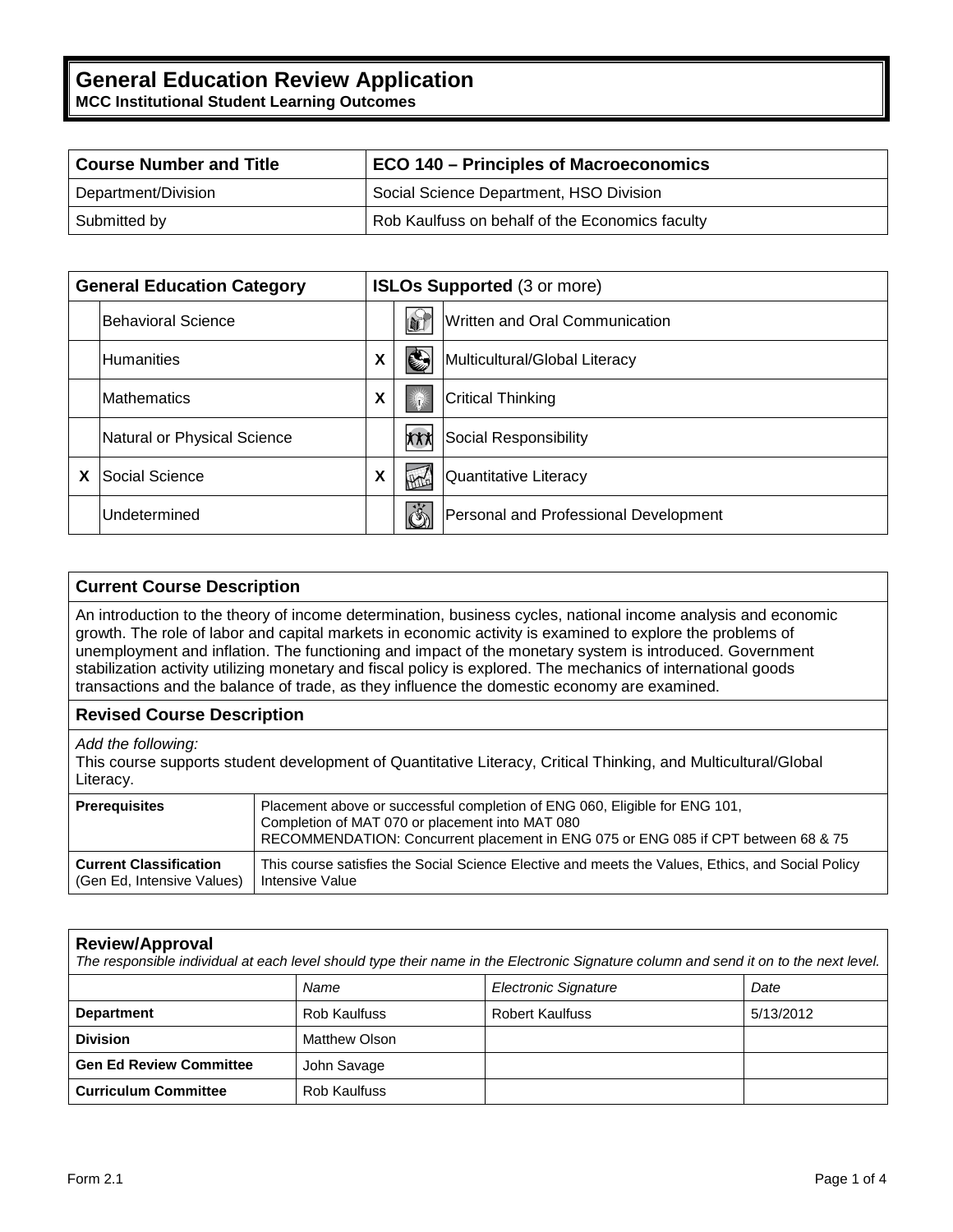| <b>Course Number and Title</b> | <b>ECO 140 - Principles of Macroeconomics</b>   |  |
|--------------------------------|-------------------------------------------------|--|
| Department/Division            | Social Science Department, HSO Division         |  |
| Submitted by                   | Rob Kaulfuss on behalf of the Economics faculty |  |

| <b>General Education Category</b> |                             | <b>ISLOs Supported (3 or more)</b> |                           |                                       |
|-----------------------------------|-----------------------------|------------------------------------|---------------------------|---------------------------------------|
|                                   | <b>IBehavioral Science</b>  |                                    | L                         | Written and Oral Communication        |
|                                   | <b>Humanities</b>           | X                                  | ⊜                         | Multicultural/Global Literacy         |
|                                   | <b>Mathematics</b>          | X                                  | 涂                         | <b>Critical Thinking</b>              |
|                                   | Natural or Physical Science |                                    | <b>XXX</b>                | Social Responsibility                 |
|                                   | lSocial Science             | X                                  | $\sqrt{4\pi}$             | Quantitative Literacy                 |
|                                   | Undetermined                |                                    | $\mathring{\mathfrak{G}}$ | Personal and Professional Development |

# **Current Course Description**

An introduction to the theory of income determination, business cycles, national income analysis and economic growth. The role of labor and capital markets in economic activity is examined to explore the problems of unemployment and inflation. The functioning and impact of the monetary system is introduced. Government stabilization activity utilizing monetary and fiscal policy is explored. The mechanics of international goods transactions and the balance of trade, as they influence the domestic economy are examined.

## **Revised Course Description**

*Add the following:*

This course supports student development of Quantitative Literacy, Critical Thinking, and Multicultural/Global Literacy.

| <b>Prerequisites</b>          | Placement above or successful completion of ENG 060, Eligible for ENG 101,<br>Completion of MAT 070 or placement into MAT 080<br>RECOMMENDATION: Concurrent placement in ENG 075 or ENG 085 if CPT between 68 & 75 |
|-------------------------------|--------------------------------------------------------------------------------------------------------------------------------------------------------------------------------------------------------------------|
| <b>Current Classification</b> | This course satisfies the Social Science Elective and meets the Values, Ethics, and Social Policy                                                                                                                  |
| (Gen Ed. Intensive Values)    | l Intensive Value                                                                                                                                                                                                  |

# **Review/Approval**

| The responsible individual at each level should type their name in the Electronic Signature column and send it on to the next level. |                     |                             |           |  |  |  |  |  |
|--------------------------------------------------------------------------------------------------------------------------------------|---------------------|-----------------------------|-----------|--|--|--|--|--|
|                                                                                                                                      | Name                | <b>Electronic Signature</b> | Date      |  |  |  |  |  |
| Rob Kaulfuss<br><b>Department</b>                                                                                                    |                     | <b>Robert Kaulfuss</b>      | 5/13/2012 |  |  |  |  |  |
| <b>Division</b>                                                                                                                      | Matthew Olson       |                             |           |  |  |  |  |  |
| <b>Gen Ed Review Committee</b>                                                                                                       | John Savage         |                             |           |  |  |  |  |  |
| <b>Curriculum Committee</b>                                                                                                          | <b>Rob Kaulfuss</b> |                             |           |  |  |  |  |  |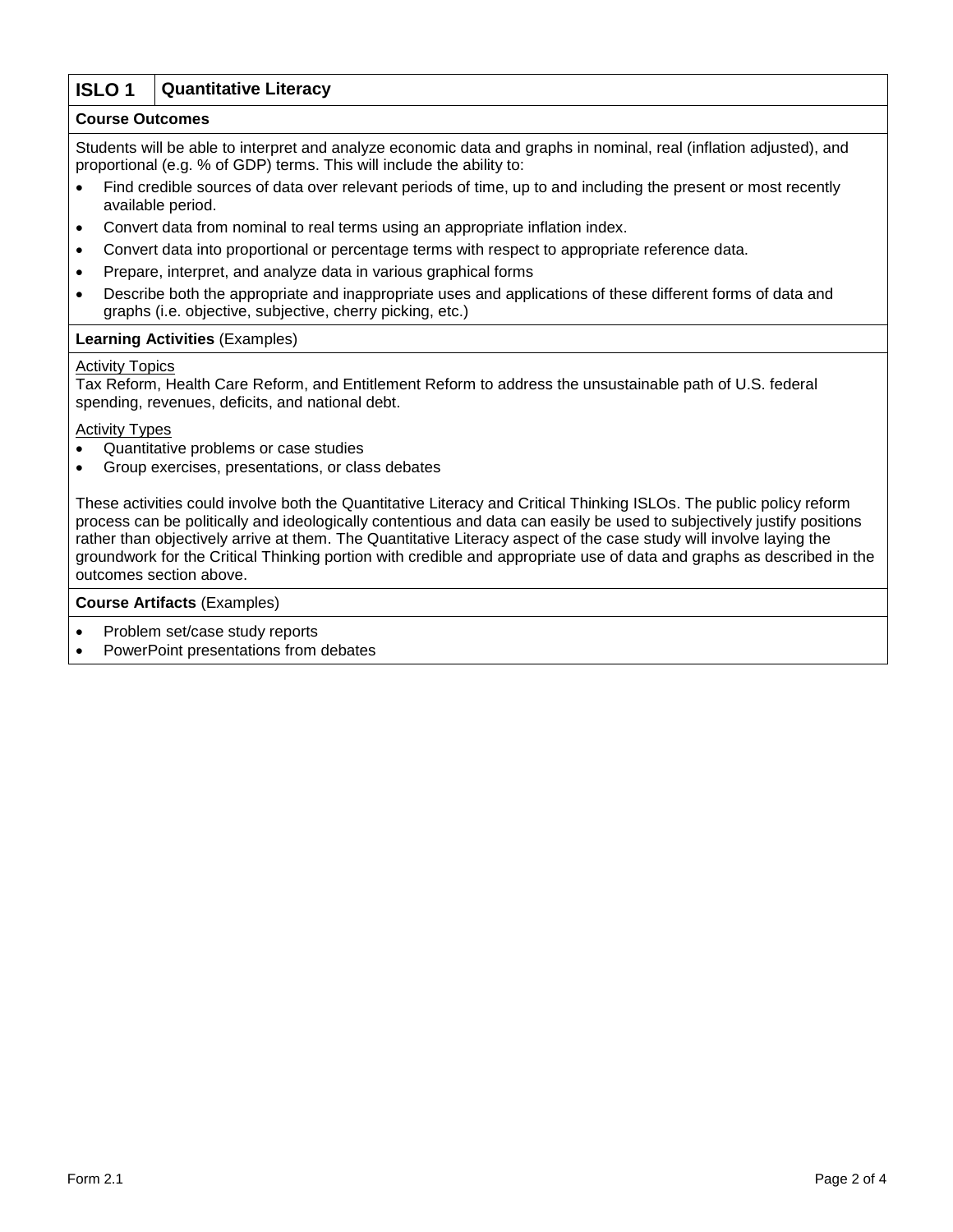# **ISLO 1 Quantitative Literacy**

## **Course Outcomes**

Students will be able to interpret and analyze economic data and graphs in nominal, real (inflation adjusted), and proportional (e.g. % of GDP) terms. This will include the ability to:

- Find credible sources of data over relevant periods of time, up to and including the present or most recently available period.
- Convert data from nominal to real terms using an appropriate inflation index.
- Convert data into proportional or percentage terms with respect to appropriate reference data.
- Prepare, interpret, and analyze data in various graphical forms
- Describe both the appropriate and inappropriate uses and applications of these different forms of data and graphs (i.e. objective, subjective, cherry picking, etc.)

## **Learning Activities** (Examples)

#### Activity Topics

Tax Reform, Health Care Reform, and Entitlement Reform to address the unsustainable path of U.S. federal spending, revenues, deficits, and national debt.

Activity Types

- Quantitative problems or case studies
- Group exercises, presentations, or class debates

These activities could involve both the Quantitative Literacy and Critical Thinking ISLOs. The public policy reform process can be politically and ideologically contentious and data can easily be used to subjectively justify positions rather than objectively arrive at them. The Quantitative Literacy aspect of the case study will involve laying the groundwork for the Critical Thinking portion with credible and appropriate use of data and graphs as described in the outcomes section above.

#### **Course Artifacts** (Examples)

- Problem set/case study reports
- PowerPoint presentations from debates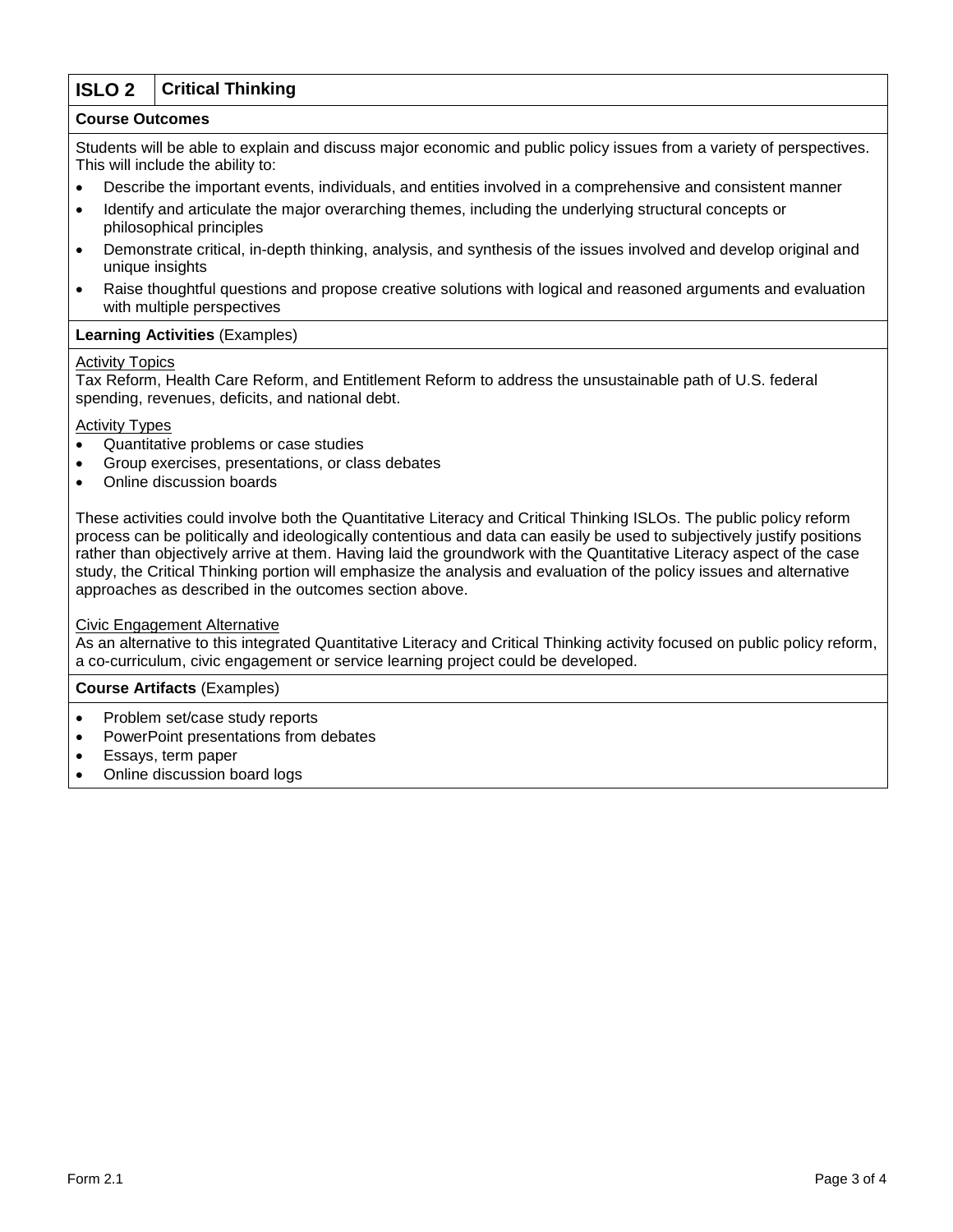# **ISLO 2 Critical Thinking**

## **Course Outcomes**

Students will be able to explain and discuss major economic and public policy issues from a variety of perspectives. This will include the ability to:

- Describe the important events, individuals, and entities involved in a comprehensive and consistent manner
- Identify and articulate the major overarching themes, including the underlying structural concepts or philosophical principles
- Demonstrate critical, in-depth thinking, analysis, and synthesis of the issues involved and develop original and unique insights
- Raise thoughtful questions and propose creative solutions with logical and reasoned arguments and evaluation with multiple perspectives

## **Learning Activities** (Examples)

## Activity Topics

Tax Reform, Health Care Reform, and Entitlement Reform to address the unsustainable path of U.S. federal spending, revenues, deficits, and national debt.

## **Activity Types**

- Quantitative problems or case studies
- Group exercises, presentations, or class debates
- Online discussion boards

These activities could involve both the Quantitative Literacy and Critical Thinking ISLOs. The public policy reform process can be politically and ideologically contentious and data can easily be used to subjectively justify positions rather than objectively arrive at them. Having laid the groundwork with the Quantitative Literacy aspect of the case study, the Critical Thinking portion will emphasize the analysis and evaluation of the policy issues and alternative approaches as described in the outcomes section above.

#### Civic Engagement Alternative

As an alternative to this integrated Quantitative Literacy and Critical Thinking activity focused on public policy reform, a co-curriculum, civic engagement or service learning project could be developed.

**Course Artifacts** (Examples)

- Problem set/case study reports
- PowerPoint presentations from debates
- Essays, term paper
- Online discussion board logs